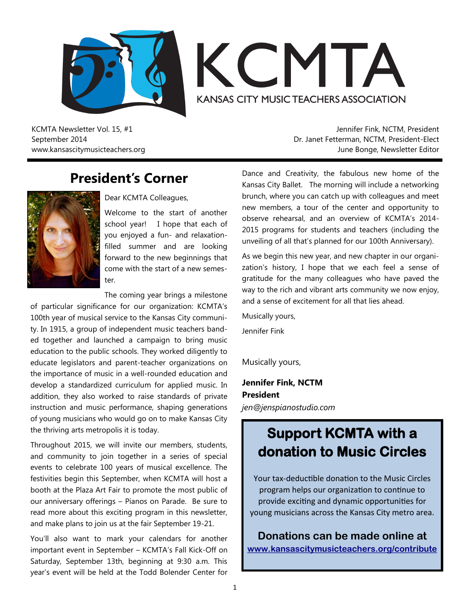



KCMTA Newsletter Vol. 15, #1 September 2014 www.kansascitymusicteachers.org

Jennifer Fink, NCTM, President Dr. Janet Fetterman, NCTM, President-Elect June Bonge, Newsletter Editor

### **President's Corner**



Dear KCMTA Colleagues,

Welcome to the start of another school year! I hope that each of you enjoyed a fun- and relaxationfilled summer and are looking forward to the new beginnings that come with the start of a new semester.

The coming year brings a milestone

of particular significance for our organization: KCMTA's 100th year of musical service to the Kansas City community. In 1915, a group of independent music teachers banded together and launched a campaign to bring music education to the public schools. They worked diligently to educate legislators and parent-teacher organizations on the importance of music in a well-rounded education and develop a standardized curriculum for applied music. In addition, they also worked to raise standards of private instruction and music performance, shaping generations of young musicians who would go on to make Kansas City the thriving arts metropolis it is today.

Throughout 2015, we will invite our members, students, and community to join together in a series of special events to celebrate 100 years of musical excellence. The festivities begin this September, when KCMTA will host a booth at the Plaza Art Fair to promote the most public of our anniversary offerings – Pianos on Parade. Be sure to read more about this exciting program in this newsletter, and make plans to join us at the fair September 19-21.

You'll also want to mark your calendars for another important event in September – KCMTA's Fall Kick-Off on Saturday, September 13th, beginning at 9:30 a.m. This year's event will be held at the Todd Bolender Center for

Dance and Creativity, the fabulous new home of the Kansas City Ballet. The morning will include a networking brunch, where you can catch up with colleagues and meet new members, a tour of the center and opportunity to observe rehearsal, and an overview of KCMTA's 2014- 2015 programs for students and teachers (including the unveiling of all that's planned for our 100th Anniversary).

As we begin this new year, and new chapter in our organization's history, I hope that we each feel a sense of gratitude for the many colleagues who have paved the way to the rich and vibrant arts community we now enjoy, and a sense of excitement for all that lies ahead.

Musically yours, Jennifer Fink

Musically yours,

**Jennifer Fink, NCTM President** *jen@jenspianostudio.com*

# **Support KCMTA with a donation to Music Circles**

Your tax-deductible donation to the Music Circles program helps our organization to continue to provide exciting and dynamic opportunities for young musicians across the Kansas City metro area.

**Donations can be made online at [www.kansascitymusicteachers.org/contribute](http://kansascitymusicteachers.org/contribute)**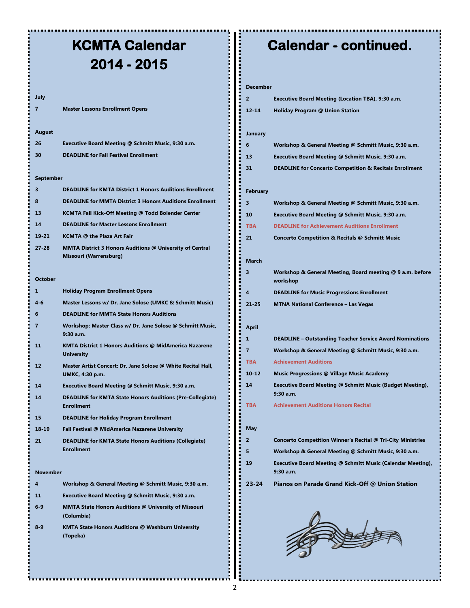# **KCMTA Calendar 2014 - 2015**

#### **July**

**7 Master Lessons Enrollment Opens**

#### **August**

| 26 | Executive Board Meeting @ Schmitt Music, 9:30 a.m. |
|----|----------------------------------------------------|
| 30 | <b>DEADLINE for Fall Festival Enrollment</b>       |

#### **September**

| 3               | <b>DEADLINE for KMTA District 1 Honors Auditions Enrollment</b>                       |
|-----------------|---------------------------------------------------------------------------------------|
| 8               | <b>DEADLINE for MMTA District 3 Honors Auditions Enrollment</b>                       |
| 13              | KCMTA Fall Kick-Off Meeting @ Todd Bolender Center                                    |
| 14              | <b>DEADLINE for Master Lessons Enrollment</b>                                         |
| $19 - 21$       | <b>KCMTA @ the Plaza Art Fair</b>                                                     |
| $27 - 28$       | MMTA District 3 Honors Auditions @ University of Central<br>Missouri (Warrensburg)    |
| <b>October</b>  |                                                                                       |
| 1               | <b>Holiday Program Enrollment Opens</b>                                               |
| $4 - 6$         | Master Lessons w/ Dr. Jane Solose (UMKC & Schmitt Music)                              |
| 6               | <b>DEADLINE for MMTA State Honors Auditions</b>                                       |
| 7               | Workshop: Master Class w/ Dr. Jane Solose @ Schmitt Music,<br>$9:30$ a.m.             |
| 11              | KMTA District 1 Honors Auditions @ MidAmerica Nazarene<br><b>University</b>           |
| 12              | Master Artist Concert: Dr. Jane Solose @ White Recital Hall,<br>UMKC, 4:30 p.m.       |
| 14              | Executive Board Meeting @ Schmitt Music, 9:30 a.m.                                    |
| 14              | <b>DEADLINE for KMTA State Honors Auditions (Pre-Collegiate)</b><br><b>Enrollment</b> |
| 15              | <b>DEADLINE for Holiday Program Enrollment</b>                                        |
| $18 - 19$       | Fall Festival @ MidAmerica Nazarene University                                        |
| 21              | <b>DEADLINE for KMTA State Honors Auditions (Collegiate)</b><br><b>Enrollment</b>     |
| <b>November</b> |                                                                                       |
| 4               | Workshop & General Meeting @ Schmitt Music, 9:30 a.m.                                 |
| 11              | Executive Board Meeting @ Schmitt Music, 9:30 a.m.                                    |

- **6-9 MMTA State Honors Auditions @ University of Missouri (Columbia)**
- **8-9 KMTA State Honors Auditions @ Washburn University (Topeka)**

Ļ.

### **Calendar - continued.**

#### **December**

**January**

**February**

**March**

**A** 

**May**

**9:30 a.m.**

| pecenner   |                                                                               |
|------------|-------------------------------------------------------------------------------|
| 2          | <b>Executive Board Meeting (Location TBA), 9:30 a.m.</b>                      |
| 12-14      | <b>Holiday Program @ Union Station</b>                                        |
|            |                                                                               |
| January    |                                                                               |
| 6          | Workshop & General Meeting @ Schmitt Music, 9:30 a.m.                         |
| 13         | Executive Board Meeting @ Schmitt Music, 9:30 a.m.                            |
| 31         | <b>DEADLINE for Concerto Competition &amp; Recitals Enrollment</b>            |
|            |                                                                               |
| February   |                                                                               |
| 3          | Workshop & General Meeting @ Schmitt Music, 9:30 a.m.                         |
| 10         | Executive Board Meeting @ Schmitt Music, 9:30 a.m.                            |
| <b>TBA</b> | <b>DEADLINE for Achievement Auditions Enrollment</b>                          |
| 21         | <b>Concerto Competition &amp; Recitals @ Schmitt Music</b>                    |
|            |                                                                               |
| March      |                                                                               |
| 3          | Workshop & General Meeting, Board meeting @ 9 a.m. before                     |
|            | workshop                                                                      |
| 4          | <b>DEADLINE for Music Progressions Enrollment</b>                             |
| 21-25      | <b>MTNA National Conference - Las Vegas</b>                                   |
|            |                                                                               |
| April      |                                                                               |
| 1          | <b>DEADLINE - Outstanding Teacher Service Award Nominations</b>               |
| 7          | Workshop & General Meeting @ Schmitt Music, 9:30 a.m.                         |
| TBA        | <b>Achievement Auditions</b>                                                  |
| 10-12      | <b>Music Progressions @ Village Music Academy</b>                             |
| 14         | <b>Executive Board Meeting @ Schmitt Music (Budget Meeting),</b><br>9:30 a.m. |
| TBA        | <b>Achievement Auditions Honors Recital</b>                                   |
|            |                                                                               |
| May        |                                                                               |
| 2          | <b>Concerto Competition Winner's Recital @ Tri-City Ministries</b>            |
| 5          | Workshop & General Meeting @ Schmitt Music, 9:30 a.m.                         |
| 19         | Executive Board Meeting @ Schmitt Music (Calendar Meeting),                   |
|            |                                                                               |



**23-24 Pianos on Parade Grand Kick-Off @ Union Station**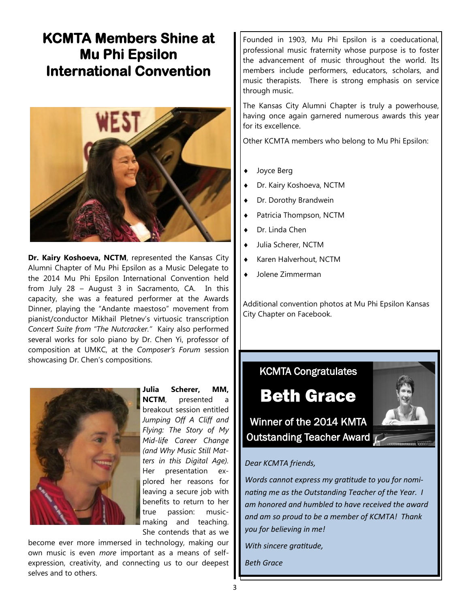## **KCMTA Members Shine at Mu Phi Epsilon International Convention**



**Dr. Kairy Koshoeva, NCTM**, represented the Kansas City Alumni Chapter of Mu Phi Epsilon as a Music Delegate to the 2014 Mu Phi Epsilon International Convention held from July 28 – August 3 in Sacramento, CA. In this capacity, she was a featured performer at the Awards Dinner, playing the "Andante maestoso" movement from pianist/conductor Mikhail Pletnev's virtuosic transcription *Concert Suite from "The Nutcracker."* Kairy also performed several works for solo piano by Dr. Chen Yi, professor of composition at UMKC, at the *Composer's Forum* session showcasing Dr. Chen's compositions.



**Julia Scherer, MM, NCTM**, presented a breakout session entitled *Jumping Off A Cliff and Flying: The Story of My Mid-life Career Change (and Why Music Still Matters in this Digital Age).*  Her presentation explored her reasons for leaving a secure job with benefits to return to her true passion: musicmaking and teaching. She contends that as we

become ever more immersed in technology, making our own music is even *more* important as a means of selfexpression, creativity, and connecting us to our deepest selves and to others.

Founded in 1903, Mu Phi Epsilon is a coeducational, professional music fraternity whose purpose is to foster the advancement of music throughout the world. Its members include performers, educators, scholars, and music therapists. There is strong emphasis on service through music.

The Kansas City Alumni Chapter is truly a powerhouse, having once again garnered numerous awards this year for its excellence.

Other KCMTA members who belong to Mu Phi Epsilon:

- Joyce Berg
- Dr. Kairy Koshoeva, NCTM
- ◆ Dr. Dorothy Brandwein
- Patricia Thompson, NCTM
- Dr. Linda Chen
- Julia Scherer, NCTM
- Karen Halverhout, NCTM
- Jolene Zimmerman

Additional convention photos at Mu Phi Epsilon Kansas City Chapter on Facebook.

### KCMTA Congratulates

# Beth Grace

Winner of the 2014 KMTA Outstanding Teacher Award



#### *Dear KCMTA friends,*

*Words cannot express my gratitude to you for nominating me as the Outstanding Teacher of the Year. I am honored and humbled to have received the award and am so proud to be a member of KCMTA! Thank you for believing in me!* 

*With sincere gratitude,*

*Beth Grace*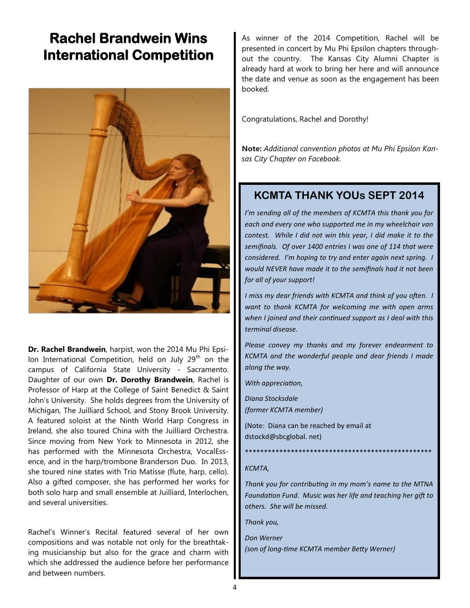### **Rachel Brandwein Wins International Competition**



**Dr. Rachel Brandwein**, harpist, won the 2014 Mu Phi Epsilon International Competition, held on July  $29<sup>th</sup>$  on the campus of California State University - Sacramento. Daughter of our own **Dr. Dorothy Brandwein**, Rachel is Professor of Harp at the College of Saint Benedict & Saint John's University. She holds degrees from the University of Michigan, The Juilliard School, and Stony Brook University. A featured soloist at the Ninth World Harp Congress in Ireland, she also toured China with the Juilliard Orchestra. Since moving from New York to Minnesota in 2012, she has performed with the Minnesota Orchestra, VocalEssence, and in the harp/trombone Branderson Duo. In 2013, she toured nine states with Trio Matisse (flute, harp, cello). Also a gifted composer, she has performed her works for both solo harp and small ensemble at Juilliard, Interlochen, and several universities.

Rachel's Winner's Recital featured several of her own compositions and was notable not only for the breathtaking musicianship but also for the grace and charm with which she addressed the audience before her performance and between numbers.

As winner of the 2014 Competition, Rachel will be presented in concert by Mu Phi Epsilon chapters throughout the country. The Kansas City Alumni Chapter is already hard at work to bring her here and will announce the date and venue as soon as the engagement has been booked.

Congratulations, Rachel and Dorothy!

**Note:** *Additional convention photos at Mu Phi Epsilon Kansas City Chapter on Facebook.*

### **KCMTA THANK YOUs SEPT 2014**

*I'm sending all of the members of KCMTA this thank you for each and every one who supported me in my wheelchair van contest. While I did not win this year, I did make it to the semifinals. Of over 1400 entries I was one of 114 that were considered. I'm hoping to try and enter again next spring. I would NEVER have made it to the semifinals had it not been for all of your support!*

*I miss my dear friends with KCMTA and think of you often. I want to thank KCMTA for welcoming me with open arms when I joined and their continued support as I deal with this terminal disease.* 

*Please convey my thanks and my forever endearment to KCMTA and the wonderful people and dear friends I made along the way.*

*With appreciation,*

*Diana Stocksdale (former KCMTA member)*

(Note: Diana can be reached by email at dstockd@sbcglobal. net)

### \*\*\*\*\*\*\*\*\*\*\*\*\*\*\*\*\*\*\*\*\*\*\*\*\*\*\*\*\*\*\*\*\*\*\*\*\*\*\*\*\*\*\*\*\*\*\*\*\*

#### *KCMTA,*

*Thank you for contributing in my mom's name to the MTNA Foundation Fund. Music was her life and teaching her gift to others. She will be missed.*

*Thank you,*

*Don Werner (son of long-time KCMTA member Betty Werner)*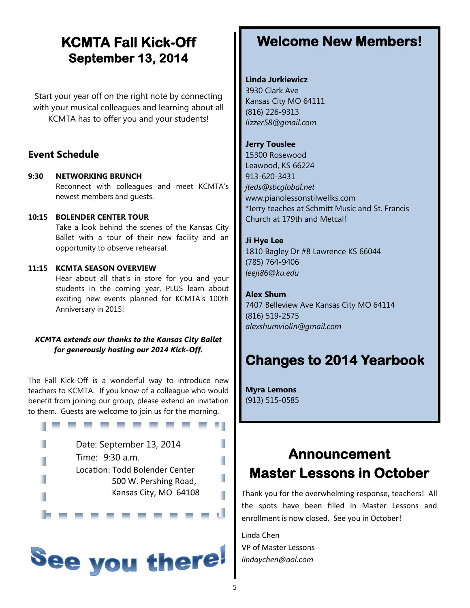### **KCMTA Fall Kick-Off September 13, 2014**

Start your year off on the right note by connecting with your musical colleagues and learning about all KCMTA has to offer you and your students!

### **Event Schedule**

**9:30 NETWORKING BRUNCH** Reconnect with colleagues and meet KCMTA's newest members and guests.

### **10:15 BOLENDER CENTER TOUR**

Take a look behind the scenes of the Kansas City Ballet with a tour of their new facility and an opportunity to observe rehearsal.

### **11:15 KCMTA SEASON OVERVIEW**

Hear about all that's in store for you and your students in the coming year, PLUS learn about exciting new events planned for KCMTA's 100th Anniversary in 2015!

### *KCMTA extends our thanks to the Kansas City Ballet for generously hosting our 2014 Kick-Off.*

The Fall Kick-Off is a wonderful way to introduce new teachers to KCMTA. If you know of a colleague who would benefit from joining our group, please extend an invitation to them. Guests are welcome to join us for the morning.

| Date: September 13, 2014       |
|--------------------------------|
| Time: 9:30 a.m.                |
| Location: Todd Bolender Center |
| 500 W. Pershing Road,          |
| Kansas City, MO 64108          |



## **Welcome New Members!**

### **Linda Jurkiewicz**

3930 Clark Ave Kansas City MO 64111 (816) 226-9313 *lizzer58@gmail.com*

### **Jerry Touslee**

15300 Rosewood Leawood, KS 66224 913-620-3431 *jteds@sbcglobal.net* www.pianolessonstilwellks.com \*Jerry teaches at Schmitt Music and St. Francis Church at 179th and Metcalf

### **Ji Hye Lee**

1810 Bagley Dr #8 Lawrence KS 66044 (785) 764-9406 *leeji86@ku.edu*

### **Alex Shum**

7407 Belleview Ave Kansas City MO 64114 (816) 519-2575 *alexshumviolin@gmail.com* 

## **Changes to 2014 Yearbook**

**Myra Lemons**  (913) 515-0585

# **Announcement Master Lessons in October**

Thank you for the overwhelming response, teachers! All the spots have been filled in Master Lessons and enrollment is now closed. See you in October!

Linda Chen VP of Master Lessons *lindaychen@aol.com*

٠

п

п